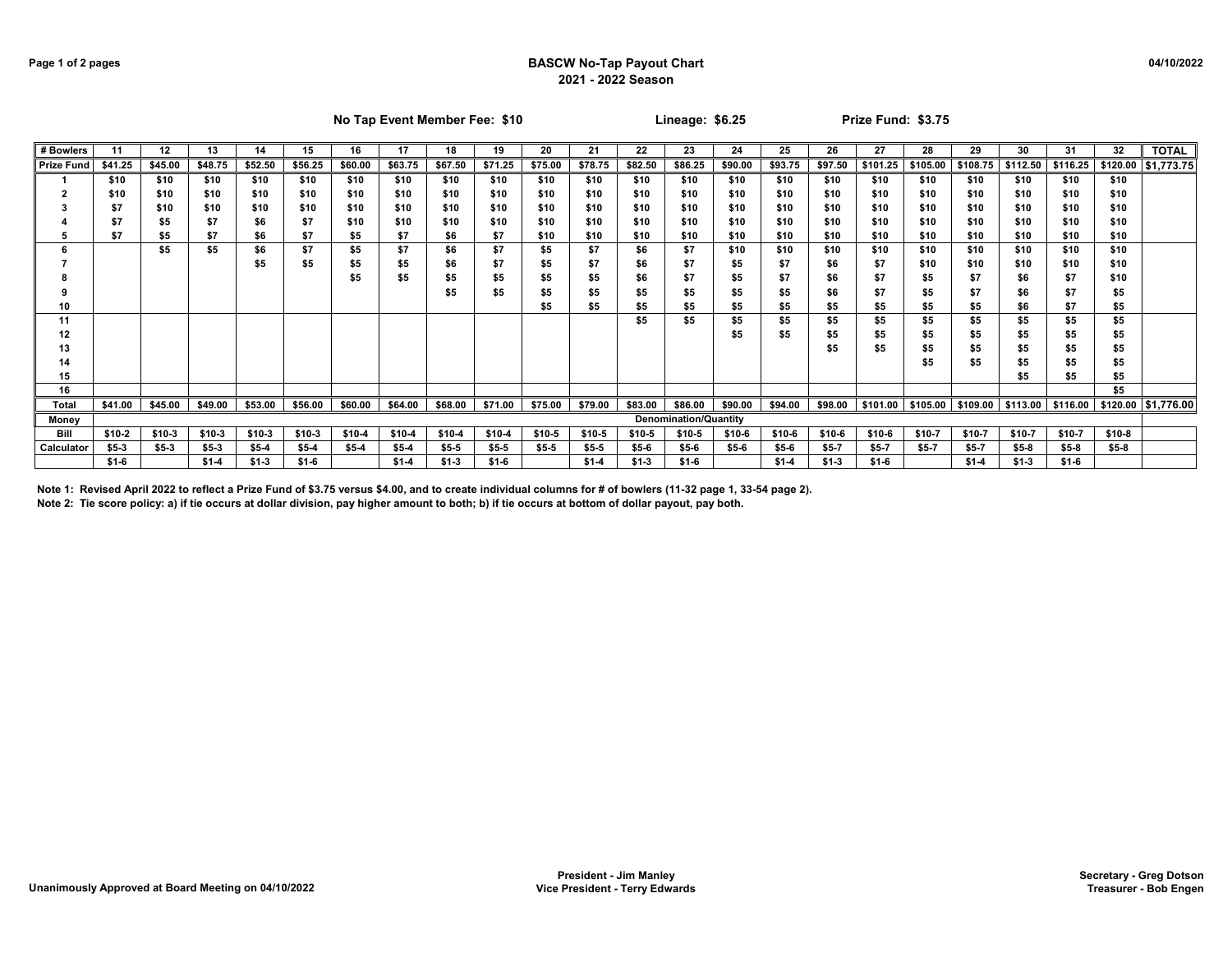## **Page 1 of 2 pages BASCW No-Tap Payout Chart 2021 - 2022 Season**

|                   | No Tap Event Member Fee: \$10                            |         |         |         |         |         |         |         |         | Lineage: $$6.25$ |         |         |                              |         | Prize Fund: \$3.75 |         |        |                   |                                              |              |          |         |                       |
|-------------------|----------------------------------------------------------|---------|---------|---------|---------|---------|---------|---------|---------|------------------|---------|---------|------------------------------|---------|--------------------|---------|--------|-------------------|----------------------------------------------|--------------|----------|---------|-----------------------|
| # Bowlers         | 12<br>13<br>19<br>20<br>11<br>14<br>15<br>16<br>17<br>18 |         |         |         |         |         |         | 21      | 22      | 23               | 24      | 25      | 26                           | 27      | 28                 | 29      | 30     | 31                | 32                                           | <b>TOTAL</b> |          |         |                       |
| <b>Prize Fund</b> | \$41.25                                                  | \$45.00 | \$48.75 | \$52.50 | \$56.25 | \$60.00 | \$63.75 | \$67.50 | \$71.25 | \$75.00          | \$78.75 | \$82.50 | \$86.25                      | \$90.00 | \$93.75            | \$97.50 |        | \$101.25 \$105.00 | $$108.75$ \$112.50                           |              | \$116.25 |         | \$120.00 \$1,773.75   |
|                   | \$10                                                     | \$10    | \$10    | \$10    | \$10    | \$10    | \$10    | \$10    | \$10    | \$10             | \$10    | \$10    | \$10                         | \$10    | \$10               | \$10    | \$10   | \$10              | \$10                                         | \$10         | \$10     | \$10    |                       |
|                   | \$10                                                     | \$10    | \$10    | \$10    | \$10    | \$10    | \$10    | \$10    | \$10    | \$10             | \$10    | \$10    | \$10                         | \$10    | \$10               | \$10    | \$10   | \$10              | \$10                                         | \$10         | \$10     | \$10    |                       |
|                   | \$7                                                      | \$10    | \$10    | \$10    | \$10    | \$10    | \$10    | \$10    | \$10    | \$10             | \$10    | \$10    | \$10                         | \$10    | \$10               | \$10    | \$10   | \$10              | \$10                                         | \$10         | \$10     | \$10    |                       |
|                   | \$7                                                      | \$5     | \$7     | \$6     | \$7     | \$10    | \$10    | \$10    | \$10    | \$10             | \$10    | \$10    | \$10                         | \$10    | \$10               | \$10    | \$10   | \$10              | \$10                                         | \$10         | \$10     | \$10    |                       |
|                   | \$7                                                      | \$5     | \$7     | \$6     | \$7     | \$5     | \$7     | \$6     | \$7     | \$10             | \$10    | \$10    | \$10                         | \$10    | \$10               | \$10    | \$10   | \$10              | \$10                                         | \$10         | \$10     | \$10    |                       |
|                   |                                                          | \$5     | \$5     | \$6     | \$7     | \$5     | \$7     | \$6     | \$7     | \$5              | \$7     | \$6     | \$7                          | \$10    | \$10               | \$10    | \$10   | \$10              | \$10                                         | \$10         | \$10     | \$10    |                       |
|                   |                                                          |         |         | \$5     | \$5     | \$5     | \$5     | \$6     | \$7     | \$5              | \$7     | \$6     | \$7                          | \$5     | \$7                | \$6     | \$7    | \$10              | \$10                                         | \$10         | \$10     | \$10    |                       |
|                   |                                                          |         |         |         |         | \$5     | \$5     | \$5     | \$5     | \$5              | \$5     | \$6     | \$7                          | \$5     | \$7                | \$6     | \$7    | \$5               | \$7                                          | \$6          | \$7      | \$10    |                       |
|                   |                                                          |         |         |         |         |         |         | \$5     | \$5     | \$5              | \$5     | \$5     | \$5                          | \$5     | \$5                | \$6     | \$7    | \$5               | \$7                                          | \$6          | \$7      | \$5     |                       |
| 10                |                                                          |         |         |         |         |         |         |         |         | \$5              | \$5     | \$5     | \$5                          | \$5     | \$5                | \$5     | \$5    | \$5               | \$5                                          | \$6          | \$7      | \$5     |                       |
| 11                |                                                          |         |         |         |         |         |         |         |         |                  |         | \$5     | \$5                          | \$5     | \$5                | \$5     | \$5    | \$5               | \$5                                          | \$5          | \$5      | \$5     |                       |
| 12                |                                                          |         |         |         |         |         |         |         |         |                  |         |         |                              | \$5     | \$5                | \$5     | \$5    | \$5               | \$5                                          | \$5          | \$5      | \$5     |                       |
| 13                |                                                          |         |         |         |         |         |         |         |         |                  |         |         |                              |         |                    | \$5     | \$5    | \$5               | \$5                                          | \$5          | \$5      | \$5     |                       |
| 14                |                                                          |         |         |         |         |         |         |         |         |                  |         |         |                              |         |                    |         |        | \$5               | \$5                                          | \$5          | \$5      | \$5     |                       |
| 15                |                                                          |         |         |         |         |         |         |         |         |                  |         |         |                              |         |                    |         |        |                   |                                              | \$5          | \$5      | \$5     |                       |
| 16                |                                                          |         |         |         |         |         |         |         |         |                  |         |         |                              |         |                    |         |        |                   |                                              |              |          | \$5     |                       |
| Total             | \$41.00                                                  | \$45.00 | \$49.00 | \$53.00 | \$56.00 | \$60.00 | \$64.00 | \$68.00 | \$71.00 | \$75.00          | \$79.00 | \$83.00 | \$86.00                      | \$90.00 | \$94.00            | \$98.00 |        |                   | \$101.00 \$105.00 \$109.00 \$113.00 \$116.00 |              |          |         | $5120.00$ $51,776.00$ |
| Money             |                                                          |         |         |         |         |         |         |         |         |                  |         |         | <b>Denomination/Quantity</b> |         |                    |         |        |                   |                                              |              |          |         |                       |
| Bill              | $$10-2$                                                  | \$10-3  | $$10-3$ | \$10-3  | $$10-3$ | \$10-4  | \$10-4  | \$10-4  | $$10-4$ | \$10-5           | \$10-5  | $$10-5$ | \$10-5                       | \$10-6  | \$10-6             | \$10-6  | \$10-6 | \$10-7            | \$10-7                                       | \$10-7       | \$10-7   | $$10-8$ |                       |
| Calculator        | $$5-3$                                                   | $$5-3$  | $$5-3$  | $$5-4$  | $$5-4$  | $$5-4$  | $$5-4$  | $$5-5$  | $$5-5$  | $$5-5$           | $$5-5$  | $$5-6$  | $$5-6$                       | $$5-6$  | $$5-6$             | \$5-7   | $$5-7$ | $$5-7$            | \$5-7                                        | $$5-8$       | $$5-8$   | $$5-8$  |                       |
|                   | $$1-6$                                                   |         | $$1-4$  | $$1-3$  | $$1-6$  |         | $$1-4$  | $$1-3$  | $$1-6$  |                  | $$1-4$  | $$1-3$  | $$1-6$                       |         | $$1-4$             | $$1-3$  | $$1-6$ |                   | $$1-4$                                       | $$1-3$       | $$1-6$   |         |                       |

**Note 1: Revised April 2022 to reflect a Prize Fund of \$3.75 versus \$4.00, and to create individual columns for # of bowlers (11-32 page 1, 33-54 page 2).**

**Note 2: Tie score policy: a) if tie occurs at dollar division, pay higher amount to both; b) if tie occurs at bottom of dollar payout, pay both.**